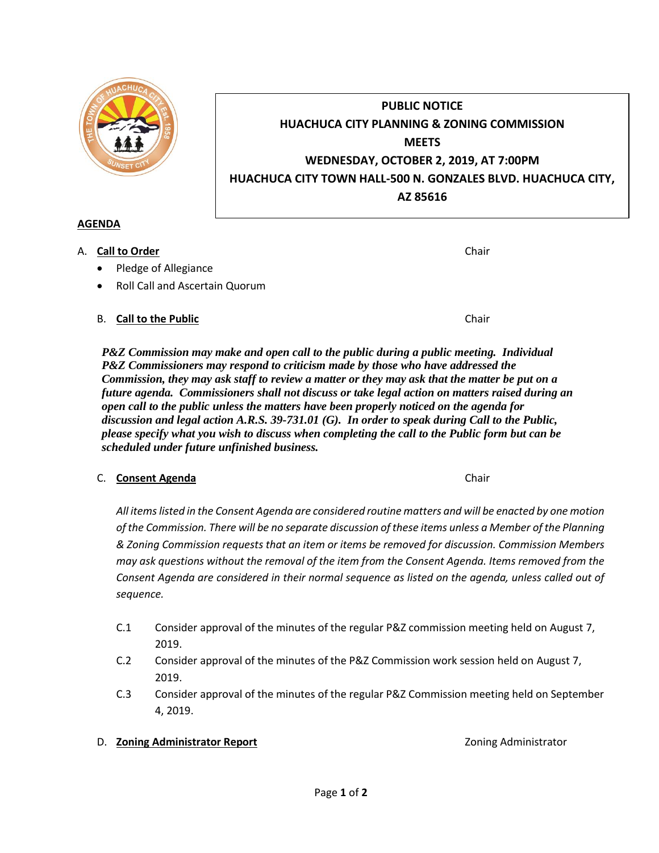- C.1 Consider approval of the minutes of the regular P&Z commission meeting held on August 7, 2019.
- C.2 Consider approval of the minutes of the P&Z Commission work session held on August 7, 2019.
- C.3 Consider approval of the minutes of the regular P&Z Commission meeting held on September 4, 2019.

# D. **Zoning Administrator Report Contract Contract Contract Administrator Zoning Administrator**

Page **1** of **2**

**PUBLIC NOTICE HUACHUCA CITY PLANNING & ZONING COMMISSION MEETS WEDNESDAY, OCTOBER 2, 2019, AT 7:00PM HUACHUCA CITY TOWN HALL-500 N. GONZALES BLVD. HUACHUCA CITY, AZ 85616**

## **AGENDA**

- A. **Call to Order** Chair **Chair** Chair **Chair** Chair **Chair** Chair **Chair** Chair **Chair** 
	- Pledge of Allegiance
	- Roll Call and Ascertain Quorum

# B. **Call to the Public Chair Chair Chair Chair Chair**

*P&Z Commission may make and open call to the public during a public meeting. Individual P&Z Commissioners may respond to criticism made by those who have addressed the Commission, they may ask staff to review a matter or they may ask that the matter be put on a future agenda. Commissioners shall not discuss or take legal action on matters raised during an open call to the public unless the matters have been properly noticed on the agenda for discussion and legal action A.R.S. 39-731.01 (G). In order to speak during Call to the Public, please specify what you wish to discuss when completing the call to the Public form but can be scheduled under future unfinished business.*

# C. **Consent Agenda** Chair

*All items listed in the Consent Agenda are considered routine matters and will be enacted by one motion of the Commission. There will be no separate discussion of these items unless a Member of the Planning & Zoning Commission requests that an item or items be removed for discussion. Commission Members may ask questions without the removal of the item from the Consent Agenda. Items removed from the Consent Agenda are considered in their normal sequence as listed on the agenda, unless called out of* 

*sequence.*